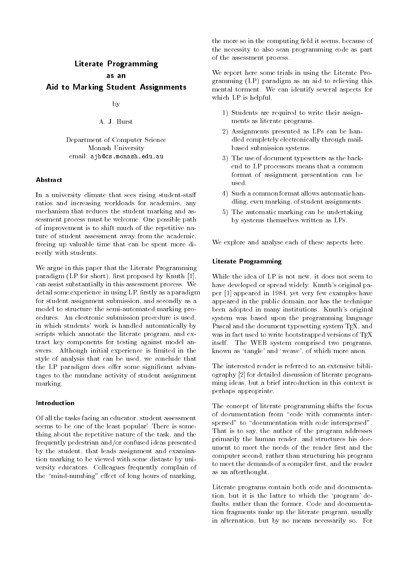# Literate Programming

Aid to Marking Student Assignments

by

A. J. Hurst

Department of Computer Science Monash University email ajh@cs.monash.edu.au

#### **Ahstract**

in a university climate that sees rising student-stude ratios and increasing workloads for academics any mechanism that reduces the student marking and assessment process must be welcome One possible path of improvement is to shift much of the repetitive nature of student assessment away from the academic freeing up valuable time that can be spent more directly with students

We argue in this paper that the Literate Programming paradigm LP for short rst proposed by Knuth can assist substantially in this assessment process We detail some experience in using LP, firstly as a paradigm for student assignment submission and secondly as a model to structure the semi-automated marking procedures. An electronic submission procedure is used, in which students' work is handled automatically by scripts which annotate the literate program, and extract key components for testing against model answers Although initial experience is limited in the style of analysis that can be used, we conclude that the LP paradigm does offer some significant advantages to the mundane activity of student assignment marking

#### Introduction

Of all the tasks facing an educator, student assessment seems to be one of the least popular! There is something about the repetitive nature of the task and the frequently pedestrian and
or confused ideas presented by the student, that leads assignment and examination marking to be viewed with some distaste by university educators Colleagues frequently complain of the mind-numbing eect of long hours of marking

the more so in the computing field it seems, because of the necessity to also scan programming code as part of the assessment process

We report here some trials in using the Literate Programming  $(LP)$  paradigm as an aid to relieving this mental torment. We can identify several aspects for which LP is helpful

- 1) Students are required to write their assignments as literate programs
- Assignments presented as LPs can be handled completely electronically through mailbased submission systems
- 3) The use of document typesetters as the backend to LP processors means that a common format of assignment presentation can be used
- 4) Such a common format allows automatic handling, even marking, of student assignments.
- 5) The automatic marking can be undertaking by systems themselves written as LPs

We explore and analyse each of these aspects here.

#### Literate Programming

While the idea of LP is not new, it does not seem to have developed or spread widely. Knuth's original paper appeared in the contract of the contract of the contract of the contract of the contract of the contract of appeared in the public domain, nor has the technique been adopted in many institutions. Knuth's original system was based upon the programming language Pascal and the document typesetting system TEX, and was in fact used to write bootstrapped versions of TFX itself. The WEB system comprised two programs, known as 'tangle' and 'weave', of which more anon.

The interested reader is referred to an extensive bibliography in discussion of literate programming ideas but a brief introduction in this context is perhaps appropriate

The concept of literate programming shifts the focus of documentation from "code with comments interspersed" to "documentation with code interspersed". That is to say, the author of the program addresses primarily the human reader, and structures his document to meet the needs of the reader first and the computer second, rather than structuring his program to meet the demands of a compiler first, and the reader as an afterthought

Literate programs contain both code and documentation, but it is the latter to which the 'program' defaults, rather than the former. Code and documentation fragments make up the literate program, usually in alternation, but by no means necessarily so. For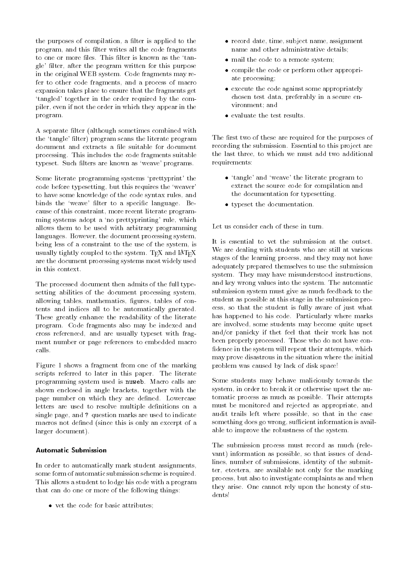the purposes of compilation, a filter is applied to the program, and this filter writes all the code fragments to one or more files. This filter is known as the 'tangle' filter, after the program written for this purpose in the original WEB system. Code fragments may refer to other code fragments, and a process of macro expansion takes place to ensure that the fragments get 'tangled' together in the order required by the compiler, even if not the order in which they appear in the program

A separate filter (although sometimes combined with the 'tangle' filter) program scans the literate program document and extracts a file suitable for document processing. This includes the code fragments suitable typeset. Such filters are known as 'weave' programs.

Some literate programming systems 'prettyprint' the code before typesetting, but this requires the 'weaver' to have some knowledge of the code syntax rules and binds the 'weave' filter to a specific language. Because of this constraint, more recent literate programming systems adopt a 'no prettyprinting' rule, which allows them to be used with arbitrary programming languages. However, the document processing system, being less of a constraint to the use of the system is usually tightly coupled to the system. TEX and IATEX are the document processing systems most widely used in this context

The processed document then admits of the full typesetting abilities of the document processing system, allowing tables, mathematics, figures, tables of contents and indices all to be automatically gnerated These greatly enhance the readability of the literate program Code fragments also may be indexed and cross referenced, and are usually typeset with fragment number or page references to embedded macro calls.

Figure 1 shows a fragment from one of the marking scripts referred to later in this paper. The literate programming system used is nuweb. Macro calls are shown enclosed in angle brackets, together with the page number on which they are defined. Lowercase letters are used to resolve multiple definitions on a single page and - question marks are used to indicate macros not defined (since this is only an excerpt of a larger document).

#### Automatic Submission

In order to automatically mark student assignments some form of automatic submission scheme is required This allows a student to lodge his code with a program that can do one or more of the following things

 $\bullet\,$  vet the code for basic attributes;  $\,$ 

- $\bullet\,$  record date, time,  $\sup$  ject name,  $\operatorname{assight}$ name and other administrative details
- $\bullet\,$  mail the code to a remote system;  $\,$
- compile the code or perform other appropriate processing
- $\bullet\,$  execute the code against some appropriately  $\hspace{0.1mm}$ chosen test data, preferably in a secure environment; and
- $\bullet$  evaluate the test results.

The first two of these are required for the purposes of recording the submission Essential to this project are the last three, to which we must add two additional requirements

- $\bullet$  -tangle and weave the literate program to  $\hspace{0.1mm}$ extract the source code for compilation and the documentation for typesetting
- $\bullet$  typeset the documentation.  $\hspace{0.1mm}$

Let us consider each of these in turn

It is essential to vet the submission at the outset We are dealing with students who are still at various stages of the learning process and they may not have adequately prepared themselves to use the submission system. They may have misunderstood instructions, and key wrong values into the system. The automatic submission system must give as much feedback to the student as possible at this stage in the submission process, so that the student is fully aware of just what has happened to his code. Particularly where marks are involved, some students may become quite upset and
or panicky if thet feel that their work has not been properly processed. Those who do not have confidence in the system will repeat their attempts, which may prove disastrous in the situation where the initial problem was caused by lack of disk space

Some students may behave maliciously towards the system in order to break it or otherwise upset the automatic process as much as possible. Their attempts must be monitored and rejected as appropriate, and audit trails left where possible, so that in the case something does go wrong, sufficient information is available to improve the robustness of the system

The submission process must record as much (relevant) information as possible, so that issues of deadlines, number of submissions, identity of the submitter, etcetera, are available not only for the marking process but also to investigate complaints as and when they arise. One cannot rely upon the honesty of students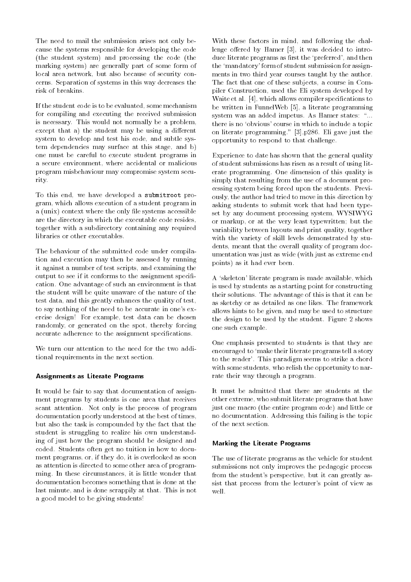The need to mail the submission arises not only because the systems responsible for developing the code  $(the student system)$  and processing the code  $(the$ marking system) are generally part of some form of local area network but also because of security concerns Separation of systems in this way decreases the risk of breakins

If the student code is to be evaluated, some mechanism for compiling and executing the received submission is necessary. This would not normally be a problem, except that a) the student may be using a different system to develop and test his code, and subtle system dependencies may surface at this stage, and b) one must be careful to execute student programs in a secure environment, where accidental or malicious program misbehaviour may compromise system security

To this end, we have developed a submitroot program which allows execution of a student program in a (unix) context where the only file systems accessible are the directory in which the executable code resides together with a subdirectory containing any required libraries or other executables

The behaviour of the submitted code under compilation and execution may then be assessed by running it against a number of test scripts, and examining the output to see if it conforms to the assignment specification One advantage of such an environment is that the student will be quite unaware of the nature of the test data, and this greatly enhances the quality of test, to say nothing of the need to be accurate in one's exercise design! For example, test data can be chosen randomly, or generated on the spot, thereby forcing accurate adherence to the assignment specifications.

We turn our attention to the need for the two additional requirements in the next section

#### Assignments as Literate Programs

It would be fair to say that documentation of assignment programs by students is one area that receives scant attention. Not only is the process of program documentation poorly understood at the best of times but also the task is compounded by the fact that the student is struggling to realize his own understanding of just how the program should be designed and coded. Students often get no tuition in how to document programs, or, if they do, it is overlooked as soon as attention is directed to some other area of programming. In these circumstances, it is little wonder that documentation becomes something that is done at the last minute, and is done scrappily at that. This is not a good model to be giving students

With these factors in mind, and following the challenge oered by Hamer it was decided to introduce literate programs as first the 'preferred', and then the 'mandatory' form of student submission for assignments in two third year courses taught by the author The fact that one of these subjects, a course in Compiler Construction, used the Eli system developed by which all which all compilers specific specific specific specific specific specific specific specific specific be written in FunnelWeb a literate programming system was an added impetus. As Hamer states: "... there is no 'obvious' course in which to include a topic on literate programming p Eli gave just the opportunity to respond to that challenge

Experience to date has shown that the general quality of student submissions has risen as a result of using literate programming One dimension of this quality is simply that resulting from the use of a document processing system being forced upon the students Previously the author had tried to move in this direction by asking students to submit work that had been typeset by any document processing system, WYSIWYG or markup, or at the very least typewritten; but the variability between layouts and print quality, together with the variety of skill levels demonstrated by students, meant that the overall quality of program documentation was just as wide (with just as extreme end points) as it had ever been.

A 'skeleton' literate program is made available, which is used by students as a starting point for constructing their solutions The advantage of this is that it can be as sketchy or as detailed as one likes The framework allows hints to be given, and may be used to structure the design to be used by the student. Figure 2 shows one such example

One emphasis presented to students is that they are encouraged to 'make their literate programs tell a story to the reader'. This paradigm seems to strike a chord with some students, who relish the opportunity to narrate their way through a program

It must be admitted that there are students at the other extreme who submit literate programs that have just one macro (the entire program code) and little or no documentation Addressing this failing is the topic of the next section

#### Marking the Literate Programs

The use of literate programs as the vehicle for student submissions not only improves the pedagogic process from the student's perspective, but it can greatly assist that process from the lecturer's point of view as well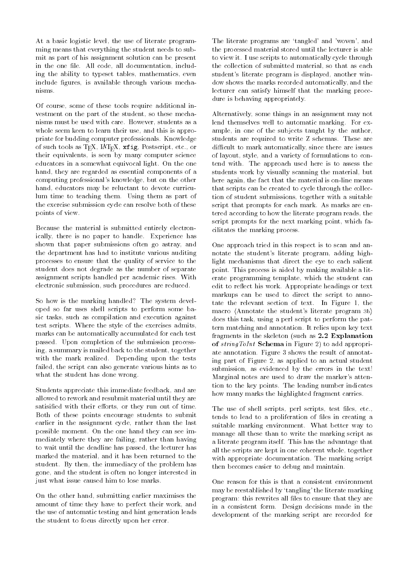At a basic logistic level, the use of literate programming means that everything the student needs to submit as part of his assignment solution can be present in the one file. All code, all documentation, including the ability to typeset tables, mathematics, even include figures, is available through various mechanisms

Of course, some of these tools require additional investment on the part of the student, so these mechanisms must be used with care. However, students as a whole seem keen to learn their use, and this is appropriate for budding computer professionals Knowledge of such tools as TEX,  $IATEX$ ,  $xfig$ , Postscript, etc., or their equivalents, is seen by many computer science educators in a somewhat equivocal light. On the one hand, they are regarded as essential components of a computing professional's knowledge, but on the other hand, educators may be reluctant to devote curriculum time to teaching them. Using them as part of the exercise submission cycle can resolve both of these points of view

Because the material is submitted entirely electronically, there is no paper to handle. Experience has shown that paper submissions often go astray, and the department has had to institute various auditing processes to ensure that the quality of service to the student does not degrade as the number of separate assignment scripts handled per academic rises With electronic submission, such procedures are reduced.

So how is the marking handled? The system developed so far uses shell scripts to perform some basic tasks, such as compilation and execution against test scripts Where the style of the exercises admits marks can be automatically accumulated for each test passed. Upon completion of the submission processing, a summary is mailed back to the student, together with the mark realized. Depending upon the tests failed, the script can also generate various hints as to what the student has done wrong

Students appreciate this immediate feedback and are allowed to rework and resubmit material until they are satisified with their efforts, or they run out of time. Both of these points encourage students to submit earlier in the assignment cycle, rather than the last possible moment On the one hand they can see immediately where they are failing, rather than having to wait until the deadline has passed, the lecturer has marked the material, and it has been returned to the student. By then, the immediacy of the problem has gone, and the student is often no longer interested in just what issue caused him to lose marks.

On the other hand, submitting earlier maximises the amount of time they have to perfect their work and the use of automatic testing and hint generation leads the student to focus directly upon her error

The literate programs are 'tangled' and 'woven', and the processed material stored until the lecturer is able to view it I use scripts to automatically cycle through the collection of submitted material so that as each student's literate program is displayed, another window shows the marks recorded automatically and the lecturer can satisfy himself that the marking procedure is behaving appropriately

Alternatively some things in an assignment may not lend themselves well to automatic marking. For example, in one of the subjects taught by the author, students are required to write Z schemas These are difficult to mark automatically, since there are issues of layout, style, and a variety of formulations to contend with The approach used here is to assess the students work by visually scanning the material, but here again the fact that the material is on-line means that scripts can be created to cycle through the collection of student submissions, together with a suitable script that prompts for each mark. As marks are entered according to how the literate program reads, the script prompts for the next marking point, which facilitates the marking process

One approach tried in this respect is to scan and annotate the student's literate program, adding highlight mechanisms that direct the eye to each salient point. This process is aided by making available a literate programming template, which the student can edit to reflect his work. Appropriate headings or text markups can be used to direct the script to annotate the relevant section of text. In Figure 1, the macro (Annotate the student's literate program  $ab$ ) does this task, using a perl script to perform the pattern matching and annotation It relies upon key text fragments in the skeleton (such as  $2.2$  Explanation  $\sim$  string form  $\sim$  chemica in Figure  $\sim$  , to add appropriate annotation. Figure 3 shows the result of annotating part of Figure 2, as applied to an actual student submission, as evidenced by the errors in the text! Marginal notes are used to draw the marker's attention to the key points. The leading number indicates how many marks the highlighted fragment carries

The use of shell scripts, perl scripts, test files, etc., tends to lead to a proliferation of files in creating a suitable marking environment. What better way to manage all these than to write the marking script as a literate program itself. This has the advantage that all the scripts are kept in one coherent whole, together with appropriate documentation. The marking script then becomes easier to debug and maintain

One reason for this is that a consistent environment may be reestablished by 'tangling' the literate marking program: this rewrites all files to ensure that they are in a consistent form Design decisions made in the development of the marking script are recorded for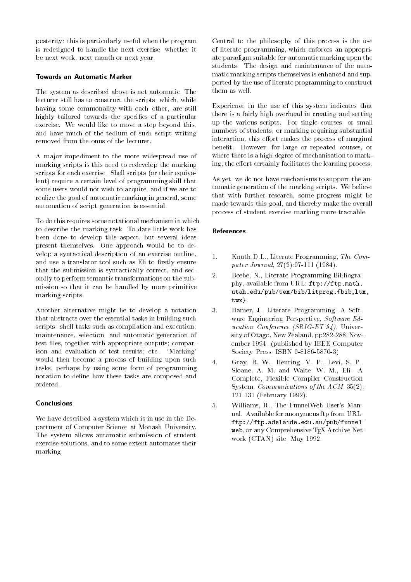posterity: this is particularly useful when the program is redesigned to handle the next exercise, whether it be next week, next month or next year.

#### Towards an Automatic Marker

The system as described above is not automatic The lecturer still has to construct the scripts, which, while having some commonality with each other, are still highly tailored towards the specifics of a particular exercise. We would like to move a step beyond this, and have much of the tedium of such script writing

A major impediment to the more widespread use of marking scripts is this need to redevelop the marking scripts for each exercise. Shell scripts (or their equivalent) require a certain level of programming skill that some users would not wish to acquire, and if we are to realize the goal of automatic marking in general, some automation of script generation is essential

To do this requires some notational mechanism in which to describe the marking task To date little work has been done to develop this aspect, but several ideas present themselves. One approach would be to develop a syntactical description of an exercise outline and use a translator tool such as Eli to firstly ensure that the submission is syntactically correct, and secondly to perform semantic transformations on the submission so that it can be handled by more primitive marking scripts

Another alternative might be to develop a notation that abstracts over the essential tasks in building such scripts: shell tasks such as compilation and execution; maintenance, selection, and automatic generation of test files, together with appropriate outputs; comparison and evaluation of test results; etc.. 'Marking' would then become a process of building upon such tasks, perhaps by using some form of programming notation to define how these tasks are composed and

#### Conclusions

We have described a system which is in use in the Department of Computer Science at Monash University The system allows automatic submission of student exercise solutions and to some extent automates their marking

Central to the philosophy of this process is the use of literate programming, which enforces an appropriate paradigm suitable for automatic marking upon the students. The design and maintenance of the automatic marking scripts themselves is enhanced and supported by the use of literate programming to construct them as well

Experience in the use of this system indicates that there is a fairly high overhead in creating and setting up the various scripts. For single courses, or small numbers of students, or marking requiring substantial interaction, this effort makes the process of marginal benefit. However, for large or repeated courses, or where there is a high degree of mechanisation to marking, the effort certainly facilitates the learning process.

As yet, we do not have mechanisms to support the automatic generation of the marking scripts. We believe that with further research, some progress might be made towards this goal and thereby make the overall process of student exercise marking more tractable

#### References

- $1 -$ Knuth, D.L., Literate Programming, The Computer Journal -
- 2. Beebe, N., Literate Programming Bibliography, available from URL: ftp://ftp.math. utah.edu/pub/tex/bib/litprog.{bib,ltx, twx}.
- 3. Hamer, J., Literate Programming: A Software Engineering Perspective,  $Software Ed$ ucation  $U$  is a set of  $U$  in  $U$  in  $U$  in  $U$  is a set of  $U$  in  $U$  in  $U$  is a set of  $U$  in  $U$  in  $U$  is a set of  $U$  in  $U$  in  $U$  in  $U$  in  $U$  in  $U$  in  $U$  in  $U$  in  $U$  in  $U$  in  $U$  in  $U$  in  $U$  in  $U$  in  $U$ sity of Otago New Zealand pp-2012 and pp-2012 and pp-2012 and pp-2012 and pp-2012 and pp-2012 and pp-2012 and ember 1994. (published by IEEE Computer society and the society press in the society of the society of the society of the society of the society of the
- Gray, R. W., Heuring, V. P., Levi, S. P.,  $\overline{4}$ Sloane, A. M. and Waite, W. M., Eli: A Complete, Flexible Compiler Construction System, Communications of the  $ACM$ ,  $35(2)$ :  $\mathbf{F} = \mathbf{F} \mathbf{F} \mathbf{F} \mathbf{F} \mathbf{F} \mathbf{F} \mathbf{F} \mathbf{F} \mathbf{F} \mathbf{F} \mathbf{F} \mathbf{F} \mathbf{F} \mathbf{F} \mathbf{F} \mathbf{F} \mathbf{F} \mathbf{F} \mathbf{F} \mathbf{F} \mathbf{F} \mathbf{F} \mathbf{F} \mathbf{F} \mathbf{F} \mathbf{F} \mathbf{F} \mathbf{F} \mathbf{F} \mathbf{F} \mathbf{F} \mathbf{F} \mathbf{F} \mathbf{F} \mathbf{F} \mathbf$
- 5. Williams, R., The FunnelWeb User's Manual. Available for anonymous ftp from URL: ftp://ftp.adelaide.edu.au/pub/funnelweb, or any Comprehensive TEX Archive Network  $(CTAN)$  site, May 1992.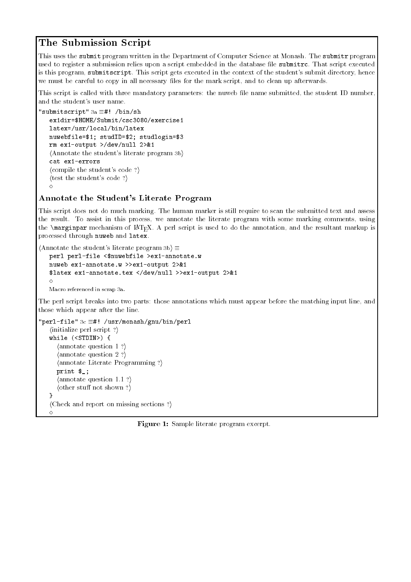# The Submission Script

This uses the submit program written in the Department of Computer Science at Monash. The submitr program used to register a submission relies upon a script embedded in the database file submitrc. That script executed is this program, submitscript. This script gets executed in the context of the student's submit directory, hence we must be careful to copy in all necessary files for the mark script, and to clean up afterwards.

This script is called with three mandatory parameters: the nuweb file name submitted, the student ID number, and the student's user name.

```
"submitscript" 3a \equiv#! /bin/sh
   ex1dir=$HOME/Submit/csc3080/exercise1
   latex=/usr/local/bin/latex
   nuwebfile=$1; studID=$2; studlogin=$3
   rm \; ex1-output >/dev/null 2>&1
   \langleAnnotate the student's literate program 3b\ranglecat ex1-errors
   \langle compile the student's code ?)
   \langle test the student's code ?\rangle\scriptstyle\diamond
```
### Annotate the Student's Literate Program

This script does not do much marking. The human marker is still require to scan the submitted text and assess the result. To assist in this process, we annotate the literate program with some marking comments, using the  $\text{marginpar mechanism}$  mechanism of IAT<sub>E</sub>X. A perl script is used to do the annotation, and the resultant markup is processed through nuweb and latex

```
\langleAnnotate the student's literate program 3b \rangle \equivperl perl-file <$nuwebfile >ex1-annotate.w
   nuweb ex1-annotate.w >>ex1-output 2>&1
   $latex ex1-annotate.tex </dev/null >>ex1-output 2>&1
   \DiamondMacro referenced in scrap 3a.
```
The perl script breaks into two parts: those annotations which must appear before the matching input line, and those which appear after the line

```
"perl-file" 3c \equiv#! /usr/monash/gnu/bin/perl
    \langle initialize perl script ?\ranglewhile (STDIN) {
       \langle annotate question 1 ?\rangleannotate question 2 ?)
       \langleannotate Literate Programming ?\rangleprint \ell.;
        \langle annotate question 1.1 ?\rangle\langle other stuff not shown ?\rangle\mathbf{r}\langle Check and report on missing sections ?)
    \Diamond
```
**Figure 1.** Dample merate program excerpt.